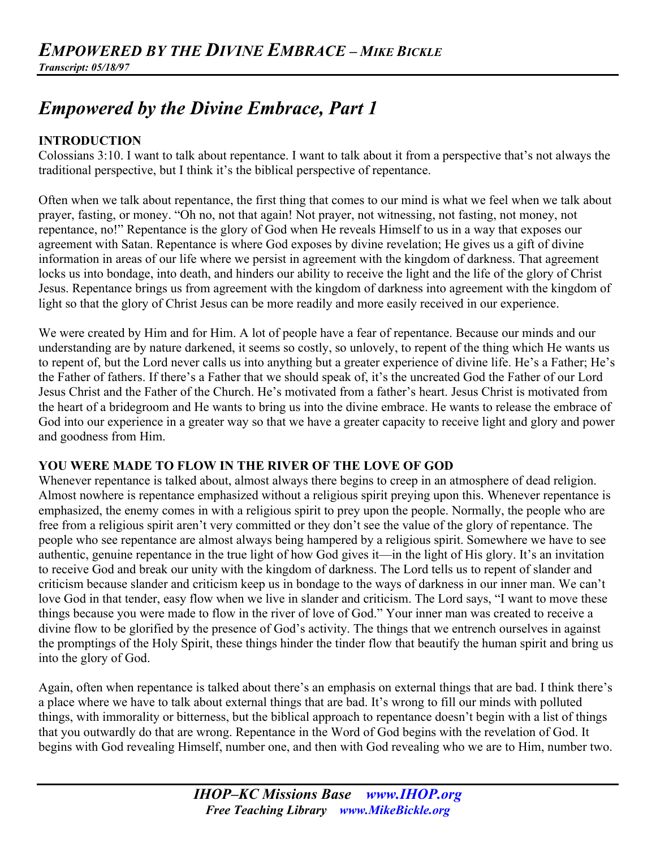# *Empowered by the Divine Embrace, Part 1*

## **INTRODUCTION**

Colossians 3:10. I want to talk about repentance. I want to talk about it from a perspective that's not always the traditional perspective, but I think it's the biblical perspective of repentance.

Often when we talk about repentance, the first thing that comes to our mind is what we feel when we talk about prayer, fasting, or money. "Oh no, not that again! Not prayer, not witnessing, not fasting, not money, not repentance, no!" Repentance is the glory of God when He reveals Himself to us in a way that exposes our agreement with Satan. Repentance is where God exposes by divine revelation; He gives us a gift of divine information in areas of our life where we persist in agreement with the kingdom of darkness. That agreement locks us into bondage, into death, and hinders our ability to receive the light and the life of the glory of Christ Jesus. Repentance brings us from agreement with the kingdom of darkness into agreement with the kingdom of light so that the glory of Christ Jesus can be more readily and more easily received in our experience.

We were created by Him and for Him. A lot of people have a fear of repentance. Because our minds and our understanding are by nature darkened, it seems so costly, so unlovely, to repent of the thing which He wants us to repent of, but the Lord never calls us into anything but a greater experience of divine life. He's a Father; He's the Father of fathers. If there's a Father that we should speak of, it's the uncreated God the Father of our Lord Jesus Christ and the Father of the Church. He's motivated from a father's heart. Jesus Christ is motivated from the heart of a bridegroom and He wants to bring us into the divine embrace. He wants to release the embrace of God into our experience in a greater way so that we have a greater capacity to receive light and glory and power and goodness from Him.

## **YOU WERE MADE TO FLOW IN THE RIVER OF THE LOVE OF GOD**

Whenever repentance is talked about, almost always there begins to creep in an atmosphere of dead religion. Almost nowhere is repentance emphasized without a religious spirit preying upon this. Whenever repentance is emphasized, the enemy comes in with a religious spirit to prey upon the people. Normally, the people who are free from a religious spirit aren't very committed or they don't see the value of the glory of repentance. The people who see repentance are almost always being hampered by a religious spirit. Somewhere we have to see authentic, genuine repentance in the true light of how God gives it—in the light of His glory. It's an invitation to receive God and break our unity with the kingdom of darkness. The Lord tells us to repent of slander and criticism because slander and criticism keep us in bondage to the ways of darkness in our inner man. We can't love God in that tender, easy flow when we live in slander and criticism. The Lord says, "I want to move these things because you were made to flow in the river of love of God." Your inner man was created to receive a divine flow to be glorified by the presence of God's activity. The things that we entrench ourselves in against the promptings of the Holy Spirit, these things hinder the tinder flow that beautify the human spirit and bring us into the glory of God.

Again, often when repentance is talked about there's an emphasis on external things that are bad. I think there's a place where we have to talk about external things that are bad. It's wrong to fill our minds with polluted things, with immorality or bitterness, but the biblical approach to repentance doesn't begin with a list of things that you outwardly do that are wrong. Repentance in the Word of God begins with the revelation of God. It begins with God revealing Himself, number one, and then with God revealing who we are to Him, number two.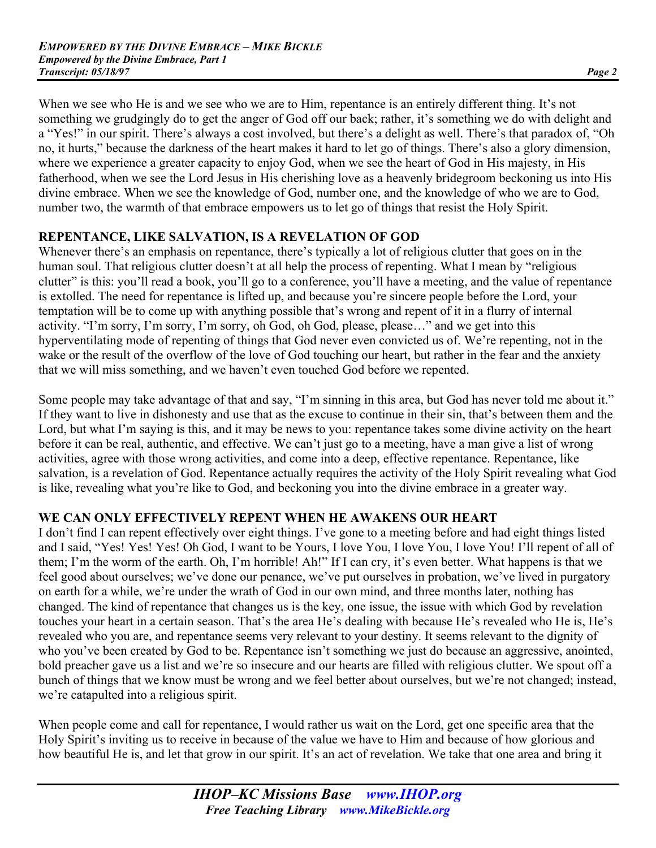When we see who He is and we see who we are to Him, repentance is an entirely different thing. It's not something we grudgingly do to get the anger of God off our back; rather, it's something we do with delight and a "Yes!" in our spirit. There's always a cost involved, but there's a delight as well. There's that paradox of, "Oh no, it hurts," because the darkness of the heart makes it hard to let go of things. There's also a glory dimension, where we experience a greater capacity to enjoy God, when we see the heart of God in His majesty, in His fatherhood, when we see the Lord Jesus in His cherishing love as a heavenly bridegroom beckoning us into His divine embrace. When we see the knowledge of God, number one, and the knowledge of who we are to God, number two, the warmth of that embrace empowers us to let go of things that resist the Holy Spirit.

# **REPENTANCE, LIKE SALVATION, IS A REVELATION OF GOD**

Whenever there's an emphasis on repentance, there's typically a lot of religious clutter that goes on in the human soul. That religious clutter doesn't at all help the process of repenting. What I mean by "religious clutter" is this: you'll read a book, you'll go to a conference, you'll have a meeting, and the value of repentance is extolled. The need for repentance is lifted up, and because you're sincere people before the Lord, your temptation will be to come up with anything possible that's wrong and repent of it in a flurry of internal activity. "I'm sorry, I'm sorry, I'm sorry, oh God, oh God, please, please…" and we get into this hyperventilating mode of repenting of things that God never even convicted us of. We're repenting, not in the wake or the result of the overflow of the love of God touching our heart, but rather in the fear and the anxiety that we will miss something, and we haven't even touched God before we repented.

Some people may take advantage of that and say, "I'm sinning in this area, but God has never told me about it." If they want to live in dishonesty and use that as the excuse to continue in their sin, that's between them and the Lord, but what I'm saying is this, and it may be news to you: repentance takes some divine activity on the heart before it can be real, authentic, and effective. We can't just go to a meeting, have a man give a list of wrong activities, agree with those wrong activities, and come into a deep, effective repentance. Repentance, like salvation, is a revelation of God. Repentance actually requires the activity of the Holy Spirit revealing what God is like, revealing what you're like to God, and beckoning you into the divine embrace in a greater way.

# **WE CAN ONLY EFFECTIVELY REPENT WHEN HE AWAKENS OUR HEART**

I don't find I can repent effectively over eight things. I've gone to a meeting before and had eight things listed and I said, "Yes! Yes! Yes! Oh God, I want to be Yours, I love You, I love You, I love You! I'll repent of all of them; I'm the worm of the earth. Oh, I'm horrible! Ah!" If I can cry, it's even better. What happens is that we feel good about ourselves; we've done our penance, we've put ourselves in probation, we've lived in purgatory on earth for a while, we're under the wrath of God in our own mind, and three months later, nothing has changed. The kind of repentance that changes us is the key, one issue, the issue with which God by revelation touches your heart in a certain season. That's the area He's dealing with because He's revealed who He is, He's revealed who you are, and repentance seems very relevant to your destiny. It seems relevant to the dignity of who you've been created by God to be. Repentance isn't something we just do because an aggressive, anointed, bold preacher gave us a list and we're so insecure and our hearts are filled with religious clutter. We spout off a bunch of things that we know must be wrong and we feel better about ourselves, but we're not changed; instead, we're catapulted into a religious spirit.

When people come and call for repentance, I would rather us wait on the Lord, get one specific area that the Holy Spirit's inviting us to receive in because of the value we have to Him and because of how glorious and how beautiful He is, and let that grow in our spirit. It's an act of revelation. We take that one area and bring it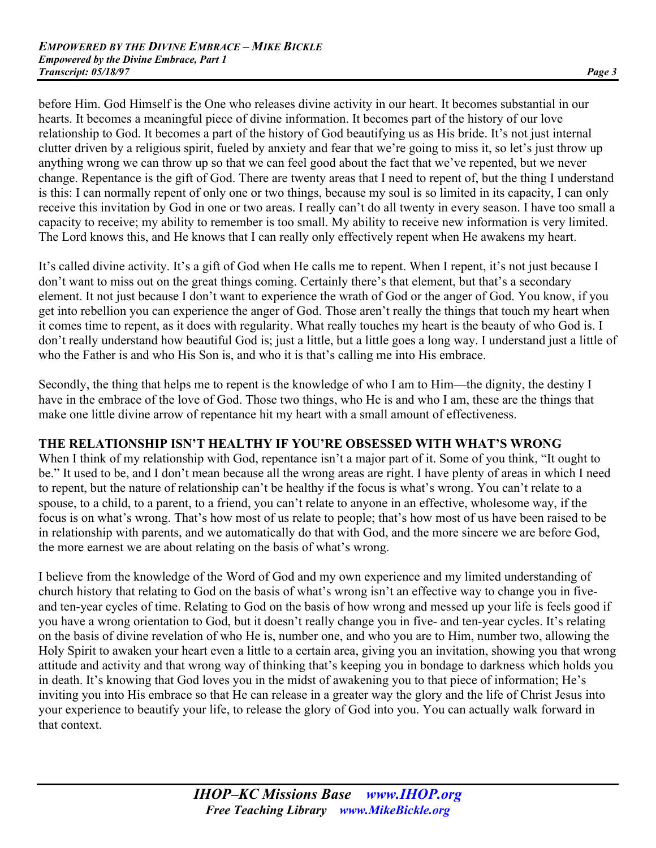before Him. God Himself is the One who releases divine activity in our heart. It becomes substantial in our hearts. It becomes a meaningful piece of divine information. It becomes part of the history of our love relationship to God. It becomes a part of the history of God beautifying us as His bride. It's not just internal clutter driven by a religious spirit, fueled by anxiety and fear that we're going to miss it, so let's just throw up anything wrong we can throw up so that we can feel good about the fact that we've repented, but we never change. Repentance is the gift of God. There are twenty areas that I need to repent of, but the thing I understand is this: I can normally repent of only one or two things, because my soul is so limited in its capacity, I can only receive this invitation by God in one or two areas. I really can't do all twenty in every season. I have too small a capacity to receive; my ability to remember is too small. My ability to receive new information is very limited. The Lord knows this, and He knows that I can really only effectively repent when He awakens my heart.

It's called divine activity. It's a gift of God when He calls me to repent. When I repent, it's not just because I don't want to miss out on the great things coming. Certainly there's that element, but that's a secondary element. It not just because I don't want to experience the wrath of God or the anger of God. You know, if you get into rebellion you can experience the anger of God. Those aren't really the things that touch my heart when it comes time to repent, as it does with regularity. What really touches my heart is the beauty of who God is. I don't really understand how beautiful God is; just a little, but a little goes a long way. I understand just a little of who the Father is and who His Son is, and who it is that's calling me into His embrace.

Secondly, the thing that helps me to repent is the knowledge of who I am to Him—the dignity, the destiny I have in the embrace of the love of God. Those two things, who He is and who I am, these are the things that make one little divine arrow of repentance hit my heart with a small amount of effectiveness.

## **THE RELATIONSHIP ISN'T HEALTHY IF YOU'RE OBSESSED WITH WHAT'S WRONG**

When I think of my relationship with God, repentance isn't a major part of it. Some of you think, "It ought to be." It used to be, and I don't mean because all the wrong areas are right. I have plenty of areas in which I need to repent, but the nature of relationship can't be healthy if the focus is what's wrong. You can't relate to a spouse, to a child, to a parent, to a friend, you can't relate to anyone in an effective, wholesome way, if the focus is on what's wrong. That's how most of us relate to people; that's how most of us have been raised to be in relationship with parents, and we automatically do that with God, and the more sincere we are before God, the more earnest we are about relating on the basis of what's wrong.

I believe from the knowledge of the Word of God and my own experience and my limited understanding of church history that relating to God on the basis of what's wrong isn't an effective way to change you in fiveand ten-year cycles of time. Relating to God on the basis of how wrong and messed up your life is feels good if you have a wrong orientation to God, but it doesn't really change you in five- and ten-year cycles. It's relating on the basis of divine revelation of who He is, number one, and who you are to Him, number two, allowing the Holy Spirit to awaken your heart even a little to a certain area, giving you an invitation, showing you that wrong attitude and activity and that wrong way of thinking that's keeping you in bondage to darkness which holds you in death. It's knowing that God loves you in the midst of awakening you to that piece of information; He's inviting you into His embrace so that He can release in a greater way the glory and the life of Christ Jesus into your experience to beautify your life, to release the glory of God into you. You can actually walk forward in that context.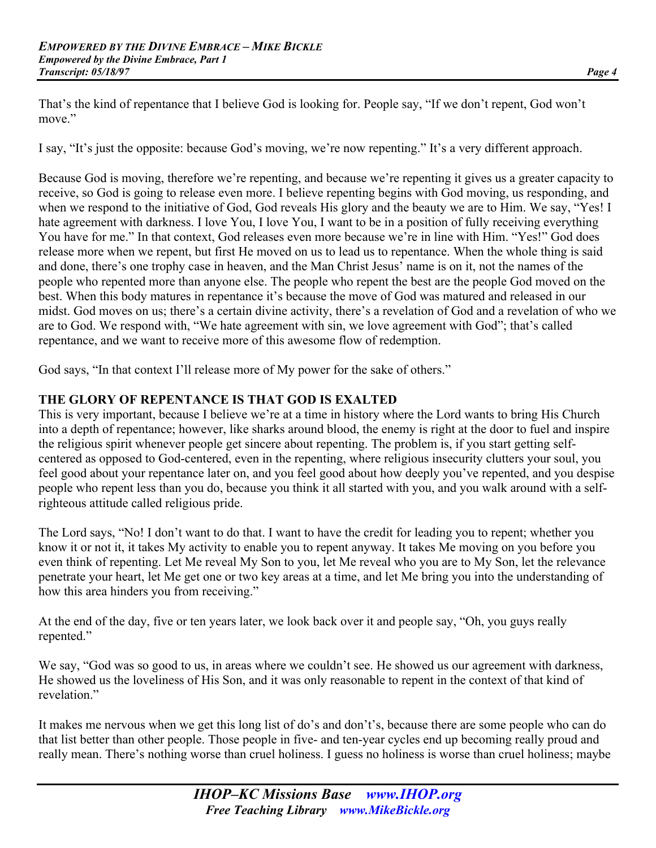That's the kind of repentance that I believe God is looking for. People say, "If we don't repent, God won't move"

I say, "It's just the opposite: because God's moving, we're now repenting." It's a very different approach.

Because God is moving, therefore we're repenting, and because we're repenting it gives us a greater capacity to receive, so God is going to release even more. I believe repenting begins with God moving, us responding, and when we respond to the initiative of God, God reveals His glory and the beauty we are to Him. We say, "Yes! I hate agreement with darkness. I love You, I love You, I want to be in a position of fully receiving everything You have for me." In that context, God releases even more because we're in line with Him. "Yes!" God does release more when we repent, but first He moved on us to lead us to repentance. When the whole thing is said and done, there's one trophy case in heaven, and the Man Christ Jesus' name is on it, not the names of the people who repented more than anyone else. The people who repent the best are the people God moved on the best. When this body matures in repentance it's because the move of God was matured and released in our midst. God moves on us; there's a certain divine activity, there's a revelation of God and a revelation of who we are to God. We respond with, "We hate agreement with sin, we love agreement with God"; that's called repentance, and we want to receive more of this awesome flow of redemption.

God says, "In that context I'll release more of My power for the sake of others."

## **THE GLORY OF REPENTANCE IS THAT GOD IS EXALTED**

This is very important, because I believe we're at a time in history where the Lord wants to bring His Church into a depth of repentance; however, like sharks around blood, the enemy is right at the door to fuel and inspire the religious spirit whenever people get sincere about repenting. The problem is, if you start getting selfcentered as opposed to God-centered, even in the repenting, where religious insecurity clutters your soul, you feel good about your repentance later on, and you feel good about how deeply you've repented, and you despise people who repent less than you do, because you think it all started with you, and you walk around with a selfrighteous attitude called religious pride.

The Lord says, "No! I don't want to do that. I want to have the credit for leading you to repent; whether you know it or not it, it takes My activity to enable you to repent anyway. It takes Me moving on you before you even think of repenting. Let Me reveal My Son to you, let Me reveal who you are to My Son, let the relevance penetrate your heart, let Me get one or two key areas at a time, and let Me bring you into the understanding of how this area hinders you from receiving."

At the end of the day, five or ten years later, we look back over it and people say, "Oh, you guys really repented."

We say, "God was so good to us, in areas where we couldn't see. He showed us our agreement with darkness, He showed us the loveliness of His Son, and it was only reasonable to repent in the context of that kind of revelation."

It makes me nervous when we get this long list of do's and don't's, because there are some people who can do that list better than other people. Those people in five- and ten-year cycles end up becoming really proud and really mean. There's nothing worse than cruel holiness. I guess no holiness is worse than cruel holiness; maybe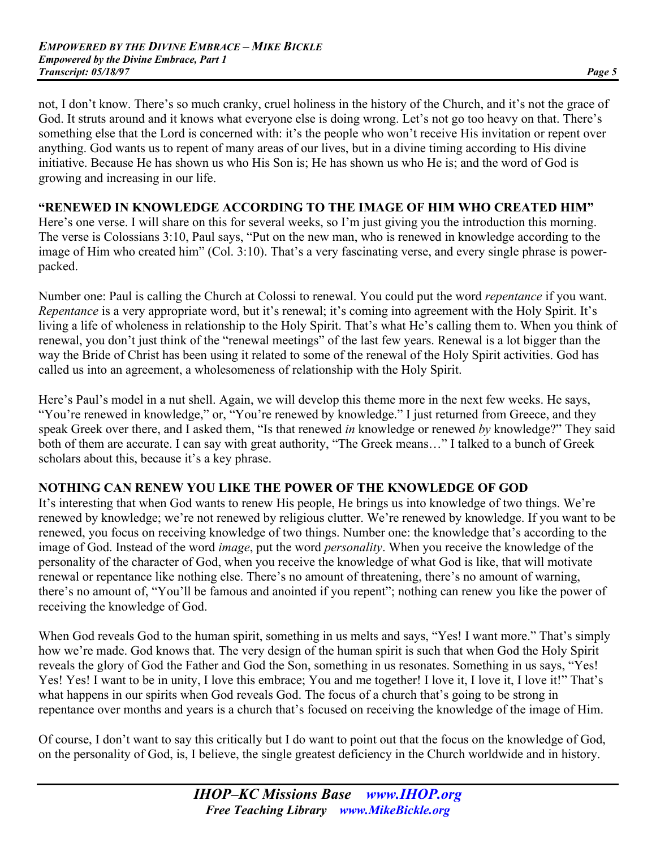not, I don't know. There's so much cranky, cruel holiness in the history of the Church, and it's not the grace of God. It struts around and it knows what everyone else is doing wrong. Let's not go too heavy on that. There's something else that the Lord is concerned with: it's the people who won't receive His invitation or repent over anything. God wants us to repent of many areas of our lives, but in a divine timing according to His divine initiative. Because He has shown us who His Son is; He has shown us who He is; and the word of God is growing and increasing in our life.

#### **"RENEWED IN KNOWLEDGE ACCORDING TO THE IMAGE OF HIM WHO CREATED HIM"**

Here's one verse. I will share on this for several weeks, so I'm just giving you the introduction this morning. The verse is Colossians 3:10, Paul says, "Put on the new man, who is renewed in knowledge according to the image of Him who created him" (Col. 3:10). That's a very fascinating verse, and every single phrase is powerpacked.

Number one: Paul is calling the Church at Colossi to renewal. You could put the word *repentance* if you want. *Repentance* is a very appropriate word, but it's renewal; it's coming into agreement with the Holy Spirit. It's living a life of wholeness in relationship to the Holy Spirit. That's what He's calling them to. When you think of renewal, you don't just think of the "renewal meetings" of the last few years. Renewal is a lot bigger than the way the Bride of Christ has been using it related to some of the renewal of the Holy Spirit activities. God has called us into an agreement, a wholesomeness of relationship with the Holy Spirit.

Here's Paul's model in a nut shell. Again, we will develop this theme more in the next few weeks. He says, "You're renewed in knowledge," or, "You're renewed by knowledge." I just returned from Greece, and they speak Greek over there, and I asked them, "Is that renewed *in* knowledge or renewed *by* knowledge?" They said both of them are accurate. I can say with great authority, "The Greek means…" I talked to a bunch of Greek scholars about this, because it's a key phrase.

#### **NOTHING CAN RENEW YOU LIKE THE POWER OF THE KNOWLEDGE OF GOD**

It's interesting that when God wants to renew His people, He brings us into knowledge of two things. We're renewed by knowledge; we're not renewed by religious clutter. We're renewed by knowledge. If you want to be renewed, you focus on receiving knowledge of two things. Number one: the knowledge that's according to the image of God. Instead of the word *image*, put the word *personality*. When you receive the knowledge of the personality of the character of God, when you receive the knowledge of what God is like, that will motivate renewal or repentance like nothing else. There's no amount of threatening, there's no amount of warning, there's no amount of, "You'll be famous and anointed if you repent"; nothing can renew you like the power of receiving the knowledge of God.

When God reveals God to the human spirit, something in us melts and says, "Yes! I want more." That's simply how we're made. God knows that. The very design of the human spirit is such that when God the Holy Spirit reveals the glory of God the Father and God the Son, something in us resonates. Something in us says, "Yes! Yes! Yes! I want to be in unity, I love this embrace; You and me together! I love it, I love it, I love it!" That's what happens in our spirits when God reveals God. The focus of a church that's going to be strong in repentance over months and years is a church that's focused on receiving the knowledge of the image of Him.

Of course, I don't want to say this critically but I do want to point out that the focus on the knowledge of God, on the personality of God, is, I believe, the single greatest deficiency in the Church worldwide and in history.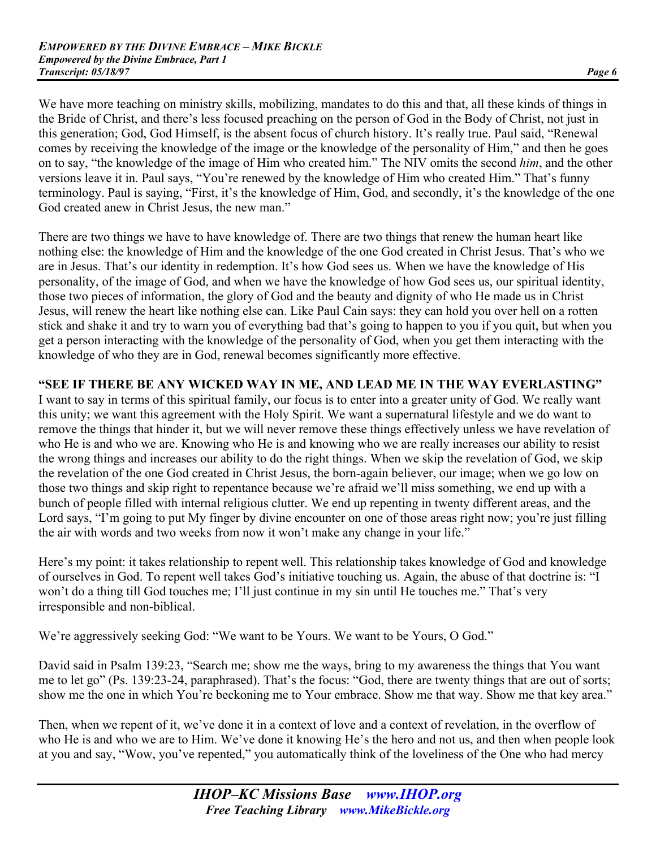We have more teaching on ministry skills, mobilizing, mandates to do this and that, all these kinds of things in the Bride of Christ, and there's less focused preaching on the person of God in the Body of Christ, not just in this generation; God, God Himself, is the absent focus of church history. It's really true. Paul said, "Renewal comes by receiving the knowledge of the image or the knowledge of the personality of Him," and then he goes on to say, "the knowledge of the image of Him who created him." The NIV omits the second *him*, and the other versions leave it in. Paul says, "You're renewed by the knowledge of Him who created Him." That's funny terminology. Paul is saying, "First, it's the knowledge of Him, God, and secondly, it's the knowledge of the one God created anew in Christ Jesus, the new man."

There are two things we have to have knowledge of. There are two things that renew the human heart like nothing else: the knowledge of Him and the knowledge of the one God created in Christ Jesus. That's who we are in Jesus. That's our identity in redemption. It's how God sees us. When we have the knowledge of His personality, of the image of God, and when we have the knowledge of how God sees us, our spiritual identity, those two pieces of information, the glory of God and the beauty and dignity of who He made us in Christ Jesus, will renew the heart like nothing else can. Like Paul Cain says: they can hold you over hell on a rotten stick and shake it and try to warn you of everything bad that's going to happen to you if you quit, but when you get a person interacting with the knowledge of the personality of God, when you get them interacting with the knowledge of who they are in God, renewal becomes significantly more effective.

## **"SEE IF THERE BE ANY WICKED WAY IN ME, AND LEAD ME IN THE WAY EVERLASTING"**

I want to say in terms of this spiritual family, our focus is to enter into a greater unity of God. We really want this unity; we want this agreement with the Holy Spirit. We want a supernatural lifestyle and we do want to remove the things that hinder it, but we will never remove these things effectively unless we have revelation of who He is and who we are. Knowing who He is and knowing who we are really increases our ability to resist the wrong things and increases our ability to do the right things. When we skip the revelation of God, we skip the revelation of the one God created in Christ Jesus, the born-again believer, our image; when we go low on those two things and skip right to repentance because we're afraid we'll miss something, we end up with a bunch of people filled with internal religious clutter. We end up repenting in twenty different areas, and the Lord says, "I'm going to put My finger by divine encounter on one of those areas right now; you're just filling the air with words and two weeks from now it won't make any change in your life."

Here's my point: it takes relationship to repent well. This relationship takes knowledge of God and knowledge of ourselves in God. To repent well takes God's initiative touching us. Again, the abuse of that doctrine is: "I won't do a thing till God touches me; I'll just continue in my sin until He touches me." That's very irresponsible and non-biblical.

We're aggressively seeking God: "We want to be Yours. We want to be Yours, O God."

David said in Psalm 139:23, "Search me; show me the ways, bring to my awareness the things that You want me to let go" (Ps. 139:23-24, paraphrased). That's the focus: "God, there are twenty things that are out of sorts; show me the one in which You're beckoning me to Your embrace. Show me that way. Show me that key area."

Then, when we repent of it, we've done it in a context of love and a context of revelation, in the overflow of who He is and who we are to Him. We've done it knowing He's the hero and not us, and then when people look at you and say, "Wow, you've repented," you automatically think of the loveliness of the One who had mercy